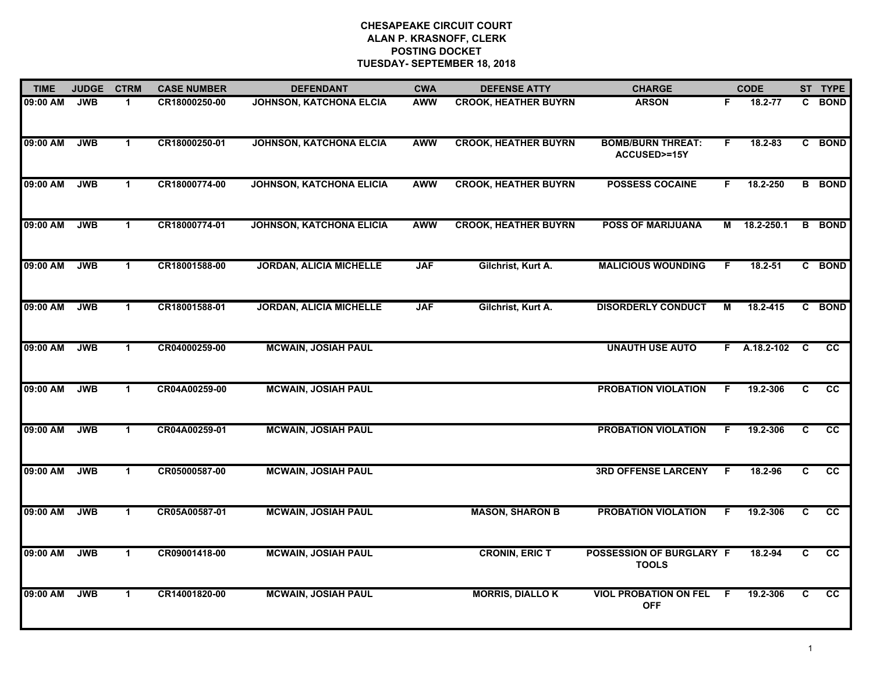| <b>TIME</b> | <b>JUDGE</b> | <b>CTRM</b>          | <b>CASE NUMBER</b> | <b>DEFENDANT</b>                | <b>CWA</b> | <b>DEFENSE ATTY</b>         | <b>CHARGE</b>                              |    | <b>CODE</b>    |                         | ST TYPE         |
|-------------|--------------|----------------------|--------------------|---------------------------------|------------|-----------------------------|--------------------------------------------|----|----------------|-------------------------|-----------------|
| 09:00 AM    | <b>JWB</b>   | $\mathbf{1}$         | CR18000250-00      | <b>JOHNSON, KATCHONA ELCIA</b>  | <b>AWW</b> | <b>CROOK, HEATHER BUYRN</b> | <b>ARSON</b>                               | F  | 18.2-77        | C.                      | <b>BOND</b>     |
| 09:00 AM    | <b>JWB</b>   | $\mathbf{1}$         | CR18000250-01      | <b>JOHNSON, KATCHONA ELCIA</b>  | <b>AWW</b> | <b>CROOK, HEATHER BUYRN</b> | <b>BOMB/BURN THREAT:</b><br>ACCUSED>=15Y   | F. | 18.2-83        |                         | C BOND          |
| 09:00 AM    | <b>JWB</b>   | $\blacktriangleleft$ | CR18000774-00      | <b>JOHNSON, KATCHONA ELICIA</b> | <b>AWW</b> | <b>CROOK, HEATHER BUYRN</b> | <b>POSSESS COCAINE</b>                     | F. | 18.2-250       |                         | <b>B</b> BOND   |
| 09:00 AM    | <b>JWB</b>   | $\mathbf 1$          | CR18000774-01      | <b>JOHNSON, KATCHONA ELICIA</b> | <b>AWW</b> | <b>CROOK, HEATHER BUYRN</b> | <b>POSS OF MARIJUANA</b>                   | М  | 18.2-250.1     |                         | <b>B</b> BOND   |
| 09:00 AM    | <b>JWB</b>   | $\blacktriangleleft$ | CR18001588-00      | <b>JORDAN, ALICIA MICHELLE</b>  | <b>JAF</b> | Gilchrist, Kurt A.          | <b>MALICIOUS WOUNDING</b>                  | F. | $18.2 - 51$    |                         | C BOND          |
| 09:00 AM    | <b>JWB</b>   | $\blacktriangleleft$ | CR18001588-01      | <b>JORDAN, ALICIA MICHELLE</b>  | <b>JAF</b> | Gilchrist, Kurt A.          | <b>DISORDERLY CONDUCT</b>                  | М  | 18.2-415       | C.                      | <b>BOND</b>     |
| 09:00 AM    | <b>JWB</b>   | $\mathbf{1}$         | CR04000259-00      | <b>MCWAIN, JOSIAH PAUL</b>      |            |                             | <b>UNAUTH USE AUTO</b>                     |    | $F$ A.18.2-102 | $\overline{\mathbf{c}}$ | $\overline{cc}$ |
| 09:00 AM    | <b>JWB</b>   | $\mathbf{1}$         | CR04A00259-00      | <b>MCWAIN, JOSIAH PAUL</b>      |            |                             | <b>PROBATION VIOLATION</b>                 | F  | 19.2-306       | C                       | $\overline{cc}$ |
| 09:00 AM    | <b>JWB</b>   | $\blacktriangleleft$ | CR04A00259-01      | <b>MCWAIN, JOSIAH PAUL</b>      |            |                             | <b>PROBATION VIOLATION</b>                 | F  | 19.2-306       | C                       | cc              |
| 09:00 AM    | <b>JWB</b>   | $\blacktriangleleft$ | CR05000587-00      | <b>MCWAIN, JOSIAH PAUL</b>      |            |                             | <b>3RD OFFENSE LARCENY</b>                 | F  | 18.2-96        | C                       | cc              |
| 09:00 AM    | <b>JWB</b>   | $\blacktriangleleft$ | CR05A00587-01      | <b>MCWAIN, JOSIAH PAUL</b>      |            | <b>MASON, SHARON B</b>      | <b>PROBATION VIOLATION</b>                 | F  | 19.2-306       | C                       | $\overline{cc}$ |
| 09:00 AM    | <b>JWB</b>   | $\mathbf{1}$         | CR09001418-00      | <b>MCWAIN, JOSIAH PAUL</b>      |            | <b>CRONIN, ERIC T</b>       | POSSESSION OF BURGLARY F<br><b>TOOLS</b>   |    | 18.2-94        | C                       | $\overline{cc}$ |
| 09:00 AM    | <b>JWB</b>   | $\blacktriangleleft$ | CR14001820-00      | <b>MCWAIN, JOSIAH PAUL</b>      |            | <b>MORRIS, DIALLOK</b>      | <b>VIOL PROBATION ON FEL</b><br><b>OFF</b> | -F | 19.2-306       | C                       | <b>CC</b>       |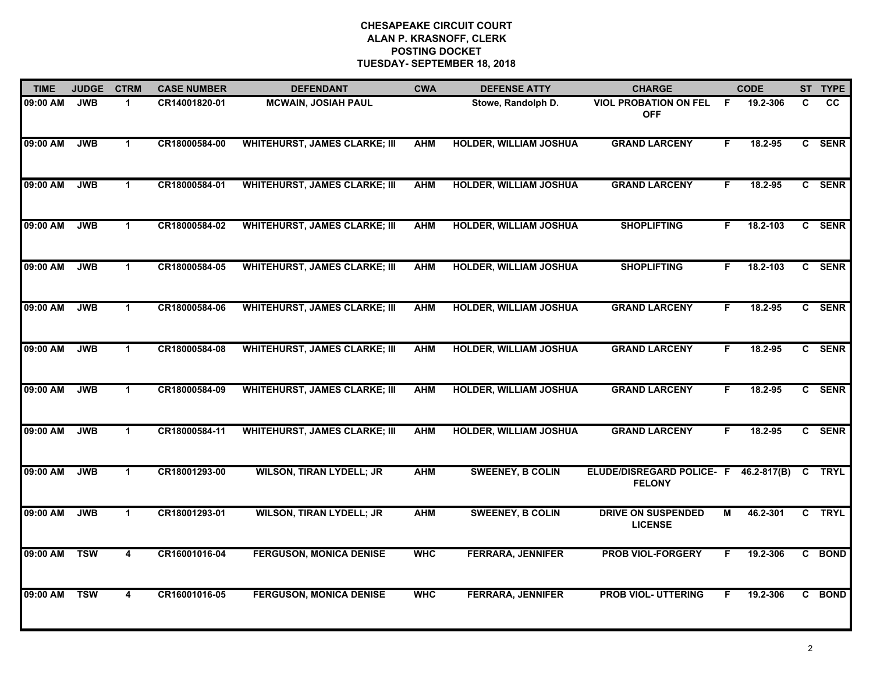| <b>TIME</b> | <b>JUDGE</b> | <b>CTRM</b>          | <b>CASE NUMBER</b> | <b>DEFENDANT</b>                     | <b>CWA</b> | <b>DEFENSE ATTY</b>           | <b>CHARGE</b>                                     |    | <b>CODE</b>     |   | ST TYPE     |
|-------------|--------------|----------------------|--------------------|--------------------------------------|------------|-------------------------------|---------------------------------------------------|----|-----------------|---|-------------|
| 09:00 AM    | <b>JWB</b>   | 1                    | CR14001820-01      | <b>MCWAIN, JOSIAH PAUL</b>           |            | Stowe, Randolph D.            | <b>VIOL PROBATION ON FEL</b><br><b>OFF</b>        | -F | 19.2-306        | C | <b>CC</b>   |
| 09:00 AM    | <b>JWB</b>   | $\mathbf{1}$         | CR18000584-00      | <b>WHITEHURST, JAMES CLARKE; III</b> | <b>AHM</b> | <b>HOLDER, WILLIAM JOSHUA</b> | <b>GRAND LARCENY</b>                              | F  | 18.2-95         |   | C SENR      |
| 09:00 AM    | <b>JWB</b>   | $\blacktriangleleft$ | CR18000584-01      | <b>WHITEHURST, JAMES CLARKE; III</b> | <b>AHM</b> | <b>HOLDER, WILLIAM JOSHUA</b> | <b>GRAND LARCENY</b>                              | F. | 18.2-95         |   | C SENR      |
| 09:00 AM    | <b>JWB</b>   | $\blacktriangleleft$ | CR18000584-02      | <b>WHITEHURST, JAMES CLARKE; III</b> | <b>AHM</b> | <b>HOLDER, WILLIAM JOSHUA</b> | <b>SHOPLIFTING</b>                                | F. | 18.2-103        |   | C SENR      |
| 09:00 AM    | <b>JWB</b>   | $\mathbf{1}$         | CR18000584-05      | <b>WHITEHURST, JAMES CLARKE; III</b> | <b>AHM</b> | <b>HOLDER, WILLIAM JOSHUA</b> | <b>SHOPLIFTING</b>                                | F. | 18.2-103        |   | C SENR      |
| 09:00 AM    | <b>JWB</b>   | $\mathbf 1$          | CR18000584-06      | <b>WHITEHURST, JAMES CLARKE; III</b> | <b>AHM</b> | <b>HOLDER, WILLIAM JOSHUA</b> | <b>GRAND LARCENY</b>                              | F. | 18.2-95         |   | C SENR      |
| 09:00 AM    | <b>JWB</b>   | $\mathbf{1}$         | CR18000584-08      | <b>WHITEHURST, JAMES CLARKE; III</b> | <b>AHM</b> | <b>HOLDER, WILLIAM JOSHUA</b> | <b>GRAND LARCENY</b>                              | F  | 18.2-95         |   | C SENR      |
| 09:00 AM    | <b>JWB</b>   | $\blacktriangleleft$ | CR18000584-09      | <b>WHITEHURST, JAMES CLARKE; III</b> | <b>AHM</b> | <b>HOLDER, WILLIAM JOSHUA</b> | <b>GRAND LARCENY</b>                              | F. | 18.2-95         |   | C SENR      |
| 09:00 AM    | <b>JWB</b>   | 1                    | CR18000584-11      | <b>WHITEHURST, JAMES CLARKE; III</b> | <b>AHM</b> | <b>HOLDER, WILLIAM JOSHUA</b> | <b>GRAND LARCENY</b>                              | F  | 18.2-95         |   | C SENR      |
| 09:00 AM    | <b>JWB</b>   | $\mathbf{1}$         | CR18001293-00      | <b>WILSON, TIRAN LYDELL; JR</b>      | <b>AHM</b> | <b>SWEENEY, B COLIN</b>       | <b>ELUDE/DISREGARD POLICE- F</b><br><b>FELONY</b> |    | $46.2 - 817(B)$ | C | <b>TRYL</b> |
| 09:00 AM    | <b>JWB</b>   | $\mathbf 1$          | CR18001293-01      | <b>WILSON, TIRAN LYDELL; JR</b>      | <b>AHM</b> | <b>SWEENEY, B COLIN</b>       | <b>DRIVE ON SUSPENDED</b><br><b>LICENSE</b>       | М  | 46.2-301        |   | C TRYL      |
| 09:00 AM    | <b>TSW</b>   | 4                    | CR16001016-04      | <b>FERGUSON, MONICA DENISE</b>       | <b>WHC</b> | <b>FERRARA, JENNIFER</b>      | <b>PROB VIOL-FORGERY</b>                          | F. | 19.2-306        |   | C BOND      |
| 09:00 AM    | <b>TSW</b>   | 4                    | CR16001016-05      | <b>FERGUSON, MONICA DENISE</b>       | <b>WHC</b> | <b>FERRARA, JENNIFER</b>      | <b>PROB VIOL- UTTERING</b>                        | F  | 19.2-306        |   | C BOND      |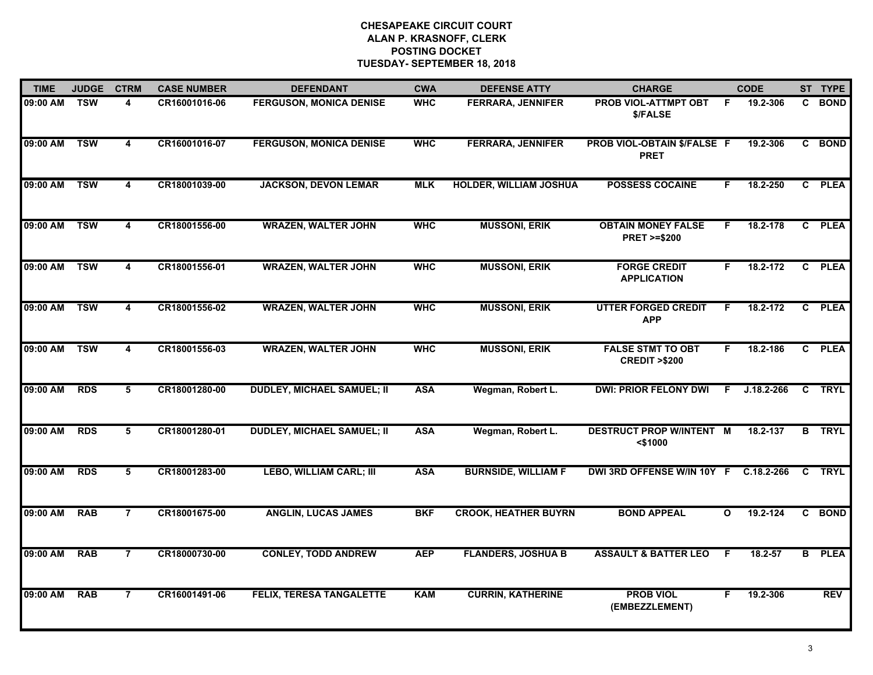| <b>TIME</b>  | <b>JUDGE</b>              | <b>CTRM</b>             | <b>CASE NUMBER</b> | <b>DEFENDANT</b>                  | <b>CWA</b> | <b>DEFENSE ATTY</b>           | <b>CHARGE</b>                                       |              | <b>CODE</b>    |                | ST TYPE     |
|--------------|---------------------------|-------------------------|--------------------|-----------------------------------|------------|-------------------------------|-----------------------------------------------------|--------------|----------------|----------------|-------------|
| 09:00 AM     | $\overline{\mathsf{TSW}}$ | 4                       | CR16001016-06      | <b>FERGUSON, MONICA DENISE</b>    | <b>WHC</b> | <b>FERRARA, JENNIFER</b>      | <b>PROB VIOL-ATTMPT OBT</b><br>\$/FALSE             | F.           | 19.2-306       | C.             | <b>BOND</b> |
| 09:00 AM     | <b>TSW</b>                | $\overline{\mathbf{4}}$ | CR16001016-07      | <b>FERGUSON, MONICA DENISE</b>    | <b>WHC</b> | <b>FERRARA, JENNIFER</b>      | PROB VIOL-OBTAIN \$/FALSE F<br><b>PRET</b>          |              | 19.2-306       |                | C BOND      |
| 09:00 AM     | <b>TSW</b>                | 4                       | CR18001039-00      | <b>JACKSON, DEVON LEMAR</b>       | <b>MLK</b> | <b>HOLDER, WILLIAM JOSHUA</b> | <b>POSSESS COCAINE</b>                              | F.           | 18.2-250       |                | C PLEA      |
| 09:00 AM     | <b>TSW</b>                | $\overline{\mathbf{4}}$ | CR18001556-00      | <b>WRAZEN, WALTER JOHN</b>        | <b>WHC</b> | <b>MUSSONI, ERIK</b>          | <b>OBTAIN MONEY FALSE</b><br><b>PRET &gt;=\$200</b> | F.           | 18.2-178       |                | C PLEA      |
| 09:00 AM     | <b>TSW</b>                | 4                       | CR18001556-01      | <b>WRAZEN, WALTER JOHN</b>        | <b>WHC</b> | <b>MUSSONI, ERIK</b>          | <b>FORGE CREDIT</b><br><b>APPLICATION</b>           | F.           | 18.2-172       |                | C PLEA      |
| 09:00 AM TSW |                           | 4                       | CR18001556-02      | <b>WRAZEN, WALTER JOHN</b>        | <b>WHC</b> | <b>MUSSONI, ERIK</b>          | <b>UTTER FORGED CREDIT</b><br><b>APP</b>            | F.           | 18.2-172       |                | C PLEA      |
| 09:00 AM     | <b>TSW</b>                | $\overline{\mathbf{4}}$ | CR18001556-03      | <b>WRAZEN, WALTER JOHN</b>        | <b>WHC</b> | <b>MUSSONI, ERIK</b>          | <b>FALSE STMT TO OBT</b><br><b>CREDIT &gt;\$200</b> | F            | 18.2-186       |                | C PLEA      |
| 09:00 AM     | <b>RDS</b>                | $5\overline{5}$         | CR18001280-00      | <b>DUDLEY, MICHAEL SAMUEL; II</b> | <b>ASA</b> | Wegman, Robert L.             | <b>DWI: PRIOR FELONY DWI</b>                        | F            | $J.18.2 - 266$ | $\overline{c}$ | <b>TRYL</b> |
| 09:00 AM     | <b>RDS</b>                | 5                       | CR18001280-01      | <b>DUDLEY, MICHAEL SAMUEL; II</b> | <b>ASA</b> | Wegman, Robert L.             | <b>DESTRUCT PROP W/INTENT M</b><br>$<$ \$1000       |              | 18.2-137       | B              | <b>TRYL</b> |
| 09:00 AM     | <b>RDS</b>                | 5                       | CR18001283-00      | <b>LEBO, WILLIAM CARL; III</b>    | <b>ASA</b> | <b>BURNSIDE, WILLIAM F</b>    | DWI 3RD OFFENSE W/IN 10Y F C.18.2-266               |              |                | C.             | <b>TRYL</b> |
| 09:00 AM     | <b>RAB</b>                | $\overline{7}$          | CR18001675-00      | <b>ANGLIN, LUCAS JAMES</b>        | <b>BKF</b> | <b>CROOK, HEATHER BUYRN</b>   | <b>BOND APPEAL</b>                                  | $\mathbf{o}$ | 19.2-124       |                | C BOND      |
| 09:00 AM     | <b>RAB</b>                | $\overline{7}$          | CR18000730-00      | <b>CONLEY, TODD ANDREW</b>        | <b>AEP</b> | <b>FLANDERS, JOSHUA B</b>     | <b>ASSAULT &amp; BATTER LEO</b>                     | F            | $18.2 - 57$    | B              | <b>PLEA</b> |
| 09:00 AM     | <b>RAB</b>                | $\overline{7}$          | CR16001491-06      | <b>FELIX, TERESA TANGALETTE</b>   | <b>KAM</b> | <b>CURRIN, KATHERINE</b>      | <b>PROB VIOL</b><br>(EMBEZZLEMENT)                  | F            | 19.2-306       |                | <b>REV</b>  |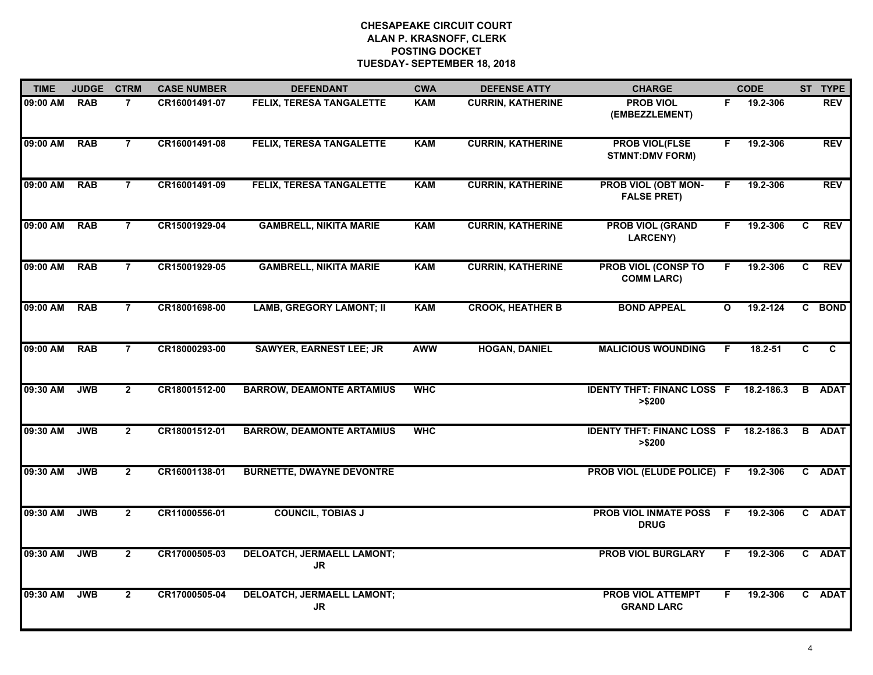| <b>TIME</b> | <b>JUDGE</b> | <b>CTRM</b>    | <b>CASE NUMBER</b> | <b>DEFENDANT</b>                               | <b>CWA</b> | <b>DEFENSE ATTY</b>      | <b>CHARGE</b>                                           |              | <b>CODE</b> |              | ST TYPE        |
|-------------|--------------|----------------|--------------------|------------------------------------------------|------------|--------------------------|---------------------------------------------------------|--------------|-------------|--------------|----------------|
| 09:00 AM    | <b>RAB</b>   | $\overline{7}$ | CR16001491-07      | <b>FELIX, TERESA TANGALETTE</b>                | <b>KAM</b> | <b>CURRIN, KATHERINE</b> | <b>PROB VIOL</b><br>(EMBEZZLEMENT)                      | F.           | 19.2-306    |              | <b>REV</b>     |
| 09:00 AM    | <b>RAB</b>   | $\overline{7}$ | CR16001491-08      | <b>FELIX, TERESA TANGALETTE</b>                | <b>KAM</b> | <b>CURRIN, KATHERINE</b> | <b>PROB VIOL(FLSE</b><br><b>STMNT:DMV FORM)</b>         | F.           | 19.2-306    |              | <b>REV</b>     |
| 09:00 AM    | <b>RAB</b>   | $\overline{7}$ | CR16001491-09      | <b>FELIX, TERESA TANGALETTE</b>                | <b>KAM</b> | <b>CURRIN, KATHERINE</b> | <b>PROB VIOL (OBT MON-</b><br><b>FALSE PRET)</b>        | F            | 19.2-306    |              | <b>REV</b>     |
| 09:00 AM    | <b>RAB</b>   | 7              | CR15001929-04      | <b>GAMBRELL, NIKITA MARIE</b>                  | <b>KAM</b> | <b>CURRIN, KATHERINE</b> | <b>PROB VIOL (GRAND</b><br><b>LARCENY)</b>              | F.           | 19.2-306    | C            | <b>REV</b>     |
| 09:00 AM    | <b>RAB</b>   | $\overline{7}$ | CR15001929-05      | <b>GAMBRELL, NIKITA MARIE</b>                  | <b>KAM</b> | <b>CURRIN, KATHERINE</b> | <b>PROB VIOL (CONSP TO</b><br><b>COMM LARC)</b>         | F.           | 19.2-306    | $\mathbf{C}$ | <b>REV</b>     |
| 09:00 AM    | <b>RAB</b>   | $\overline{7}$ | CR18001698-00      | <b>LAMB, GREGORY LAMONT; II</b>                | <b>KAM</b> | <b>CROOK, HEATHER B</b>  | <b>BOND APPEAL</b>                                      | $\mathbf{o}$ | 19.2-124    |              | C BOND         |
| 09:00 AM    | <b>RAB</b>   | $\overline{7}$ | CR18000293-00      | <b>SAWYER, EARNEST LEE; JR</b>                 | <b>AWW</b> | <b>HOGAN, DANIEL</b>     | <b>MALICIOUS WOUNDING</b>                               | F.           | $18.2 - 51$ | C.           | $\overline{c}$ |
| 09:30 AM    | <b>JWB</b>   | $\overline{2}$ | CR18001512-00      | <b>BARROW, DEAMONTE ARTAMIUS</b>               | <b>WHC</b> |                          | <b>IDENTY THFT: FINANC LOSS F 18.2-186.3</b><br>> \$200 |              |             |              | <b>B</b> ADAT  |
| 09:30 AM    | <b>JWB</b>   | $\mathbf{2}$   | CR18001512-01      | <b>BARROW, DEAMONTE ARTAMIUS</b>               | <b>WHC</b> |                          | <b>IDENTY THFT: FINANC LOSS F 18.2-186.3</b><br>> \$200 |              |             |              | <b>B</b> ADAT  |
| 09:30 AM    | <b>JWB</b>   | $\mathbf{2}$   | CR16001138-01      | <b>BURNETTE, DWAYNE DEVONTRE</b>               |            |                          | PROB VIOL (ELUDE POLICE) F                              |              | 19.2-306    |              | C ADAT         |
| 09:30 AM    | <b>JWB</b>   | $\overline{2}$ | CR11000556-01      | <b>COUNCIL, TOBIAS J</b>                       |            |                          | <b>PROB VIOL INMATE POSS</b><br><b>DRUG</b>             | F            | 19.2-306    |              | C ADAT         |
| 09:30 AM    | <b>JWB</b>   | $\mathbf{2}$   | CR17000505-03      | <b>DELOATCH, JERMAELL LAMONT;</b><br>JR        |            |                          | <b>PROB VIOL BURGLARY</b>                               | F.           | 19.2-306    |              | C ADAT         |
| 09:30 AM    | <b>JWB</b>   | $\overline{2}$ | CR17000505-04      | <b>DELOATCH, JERMAELL LAMONT;</b><br><b>JR</b> |            |                          | <b>PROB VIOL ATTEMPT</b><br><b>GRAND LARC</b>           |              | 19.2-306    |              | C ADAT         |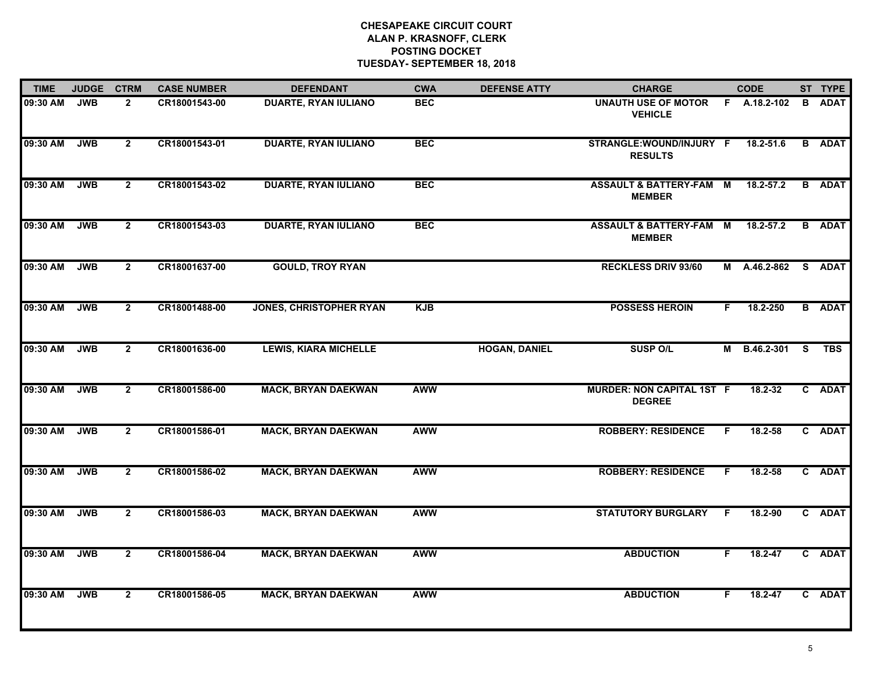| <b>TIME</b> | <b>JUDGE</b> | <b>CTRM</b>    | <b>CASE NUMBER</b> | <b>DEFENDANT</b>               | <b>CWA</b> | <b>DEFENSE ATTY</b>  | <b>CHARGE</b>                                       |    | <b>CODE</b>   |   | ST TYPE       |
|-------------|--------------|----------------|--------------------|--------------------------------|------------|----------------------|-----------------------------------------------------|----|---------------|---|---------------|
| 09:30 AM    | <b>JWB</b>   | $\overline{2}$ | CR18001543-00      | <b>DUARTE, RYAN IULIANO</b>    | <b>BEC</b> |                      | <b>UNAUTH USE OF MOTOR</b><br><b>VEHICLE</b>        |    | F A.18.2-102  | B | <b>ADAT</b>   |
| 09:30 AM    | <b>JWB</b>   | $\mathbf{2}$   | CR18001543-01      | <b>DUARTE, RYAN IULIANO</b>    | <b>BEC</b> |                      | STRANGLE:WOUND/INJURY F<br><b>RESULTS</b>           |    | 18.2-51.6     |   | <b>B</b> ADAT |
| 09:30 AM    | <b>JWB</b>   | $\overline{2}$ | CR18001543-02      | <b>DUARTE, RYAN IULIANO</b>    | <b>BEC</b> |                      | <b>ASSAULT &amp; BATTERY-FAM M</b><br><b>MEMBER</b> |    | $18.2 - 57.2$ |   | <b>B</b> ADAT |
| 09:30 AM    | <b>JWB</b>   | $\overline{2}$ | CR18001543-03      | <b>DUARTE, RYAN IULIANO</b>    | <b>BEC</b> |                      | <b>ASSAULT &amp; BATTERY-FAM M</b><br><b>MEMBER</b> |    | $18.2 - 57.2$ |   | <b>B</b> ADAT |
| 09:30 AM    | <b>JWB</b>   | $\overline{2}$ | CR18001637-00      | <b>GOULD, TROY RYAN</b>        |            |                      | <b>RECKLESS DRIV 93/60</b>                          |    | M A.46.2-862  |   | S ADAT        |
| 09:30 AM    | <b>JWB</b>   | $\overline{2}$ | CR18001488-00      | <b>JONES, CHRISTOPHER RYAN</b> | <b>KJB</b> |                      | <b>POSSESS HEROIN</b>                               | F. | 18.2-250      |   | <b>B</b> ADAT |
| 09:30 AM    | <b>JWB</b>   | $\overline{2}$ | CR18001636-00      | <b>LEWIS, KIARA MICHELLE</b>   |            | <b>HOGAN, DANIEL</b> | <b>SUSP O/L</b>                                     | M  | B.46.2-301 S  |   | <b>TBS</b>    |
| 09:30 AM    | <b>JWB</b>   | $\overline{2}$ | CR18001586-00      | <b>MACK, BRYAN DAEKWAN</b>     | <b>AWW</b> |                      | <b>MURDER: NON CAPITAL 1ST F</b><br><b>DEGREE</b>   |    | 18.2-32       |   | C ADAT        |
| 09:30 AM    | <b>JWB</b>   | $\overline{2}$ | CR18001586-01      | <b>MACK, BRYAN DAEKWAN</b>     | <b>AWW</b> |                      | <b>ROBBERY: RESIDENCE</b>                           | F. | $18.2 - 58$   |   | C ADAT        |
| 09:30 AM    | <b>JWB</b>   | $\overline{2}$ | CR18001586-02      | <b>MACK, BRYAN DAEKWAN</b>     | <b>AWW</b> |                      | <b>ROBBERY: RESIDENCE</b>                           | F. | $18.2 - 58$   |   | C ADAT        |
| 09:30 AM    | <b>JWB</b>   | $\overline{2}$ | CR18001586-03      | <b>MACK, BRYAN DAEKWAN</b>     | <b>AWW</b> |                      | <b>STATUTORY BURGLARY</b>                           | E  | 18.2-90       |   | C ADAT        |
| 09:30 AM    | <b>JWB</b>   | $\overline{2}$ | CR18001586-04      | <b>MACK, BRYAN DAEKWAN</b>     | <b>AWW</b> |                      | <b>ABDUCTION</b>                                    | F. | $18.2 - 47$   |   | C ADAT        |
| 09:30 AM    | <b>JWB</b>   | $\overline{2}$ | CR18001586-05      | <b>MACK, BRYAN DAEKWAN</b>     | <b>AWW</b> |                      | <b>ABDUCTION</b>                                    | F  | $18.2 - 47$   |   | C ADAT        |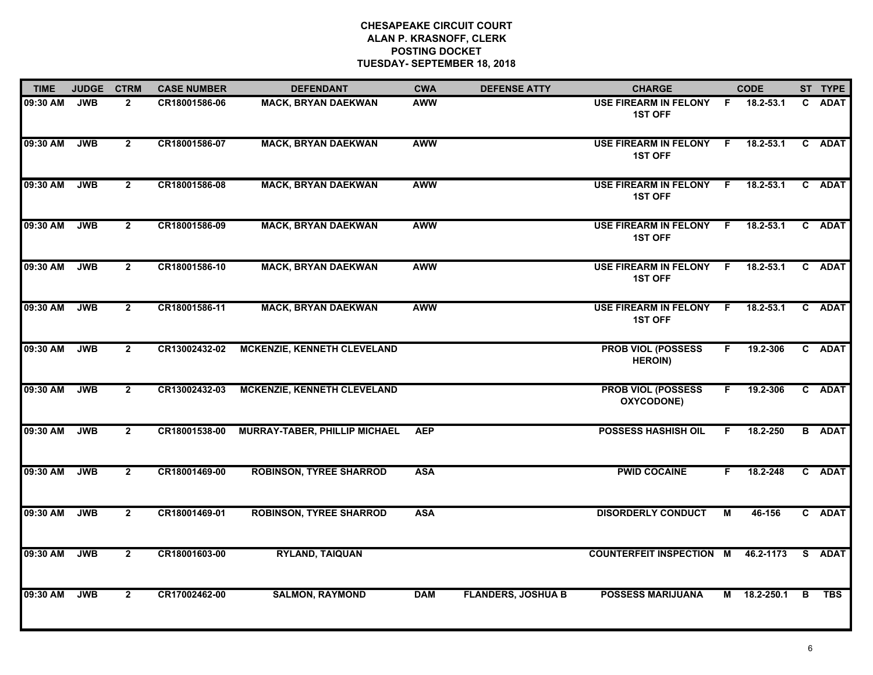| <b>TIME</b> | <b>JUDGE</b> | <b>CTRM</b>    | <b>CASE NUMBER</b> | <b>DEFENDANT</b>                     | <b>CWA</b> | <b>DEFENSE ATTY</b>       | <b>CHARGE</b>                               |    | <b>CODE</b>   |   | ST TYPE       |
|-------------|--------------|----------------|--------------------|--------------------------------------|------------|---------------------------|---------------------------------------------|----|---------------|---|---------------|
| 09:30 AM    | <b>JWB</b>   | $\overline{2}$ | CR18001586-06      | <b>MACK, BRYAN DAEKWAN</b>           | <b>AWW</b> |                           | USE FIREARM IN FELONY F<br><b>1ST OFF</b>   |    | 18.2-53.1     |   | C ADAT        |
| 09:30 AM    | <b>JWB</b>   | $\mathbf{2}$   | CR18001586-07      | <b>MACK, BRYAN DAEKWAN</b>           | <b>AWW</b> |                           | USE FIREARM IN FELONY F<br><b>1ST OFF</b>   |    | $18.2 - 53.1$ |   | C ADAT        |
| 09:30 AM    | <b>JWB</b>   | $\overline{2}$ | CR18001586-08      | <b>MACK, BRYAN DAEKWAN</b>           | <b>AWW</b> |                           | USE FIREARM IN FELONY F<br><b>1ST OFF</b>   |    | $18.2 - 53.1$ |   | C ADAT        |
| 09:30 AM    | <b>JWB</b>   | $\overline{2}$ | CR18001586-09      | <b>MACK, BRYAN DAEKWAN</b>           | <b>AWW</b> |                           | USE FIREARM IN FELONY F<br><b>1ST OFF</b>   |    | $18.2 - 53.1$ |   | C ADAT        |
| 09:30 AM    | <b>JWB</b>   | $\overline{2}$ | CR18001586-10      | <b>MACK, BRYAN DAEKWAN</b>           | <b>AWW</b> |                           | USE FIREARM IN FELONY F<br><b>1ST OFF</b>   |    | 18.2-53.1     |   | C ADAT        |
| 09:30 AM    | <b>JWB</b>   | $\overline{2}$ | CR18001586-11      | <b>MACK, BRYAN DAEKWAN</b>           | <b>AWW</b> |                           | USE FIREARM IN FELONY F<br><b>1ST OFF</b>   |    | $18.2 - 53.1$ |   | C ADAT        |
| 09:30 AM    | <b>JWB</b>   | $\mathbf{2}$   | CR13002432-02      | <b>MCKENZIE, KENNETH CLEVELAND</b>   |            |                           | <b>PROB VIOL (POSSESS</b><br><b>HEROIN)</b> | F. | 19.2-306      |   | C ADAT        |
| 09:30 AM    | <b>JWB</b>   | $\overline{2}$ | CR13002432-03      | <b>MCKENZIE, KENNETH CLEVELAND</b>   |            |                           | <b>PROB VIOL (POSSESS</b><br>OXYCODONE)     | F. | 19.2-306      |   | C ADAT        |
| 09:30 AM    | <b>JWB</b>   | $\overline{2}$ | CR18001538-00      | <b>MURRAY-TABER, PHILLIP MICHAEL</b> | <b>AEP</b> |                           | <b>POSSESS HASHISH OIL</b>                  | F. | 18.2-250      |   | <b>B</b> ADAT |
| 09:30 AM    | <b>JWB</b>   | $\overline{2}$ | CR18001469-00      | <b>ROBINSON, TYREE SHARROD</b>       | <b>ASA</b> |                           | <b>PWID COCAINE</b>                         | F. | 18.2-248      |   | C ADAT        |
| 09:30 AM    | <b>JWB</b>   | $\mathbf{2}$   | CR18001469-01      | <b>ROBINSON, TYREE SHARROD</b>       | <b>ASA</b> |                           | <b>DISORDERLY CONDUCT</b>                   | М  | 46-156        |   | C ADAT        |
| 09:30 AM    | <b>JWB</b>   | $\overline{2}$ | CR18001603-00      | <b>RYLAND, TAIQUAN</b>               |            |                           | <b>COUNTERFEIT INSPECTION M</b>             |    | 46.2-1173     |   | S ADAT        |
| 09:30 AM    | <b>JWB</b>   | $\mathbf{2}$   | CR17002462-00      | <b>SALMON, RAYMOND</b>               | <b>DAM</b> | <b>FLANDERS, JOSHUA B</b> | <b>POSSESS MARIJUANA</b>                    |    | M 18.2-250.1  | B | <b>TBS</b>    |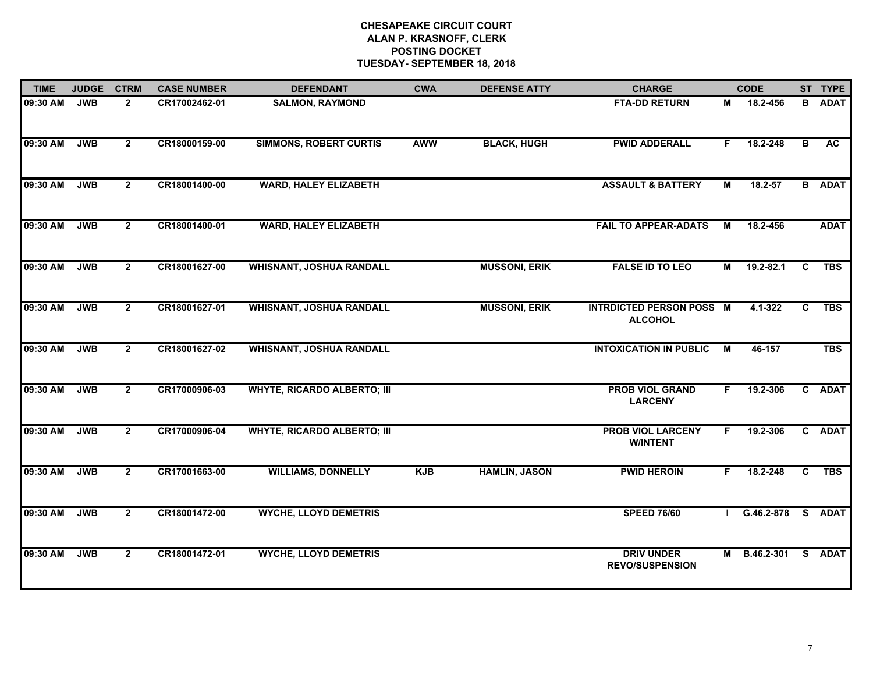| <b>TIME</b> | <b>JUDGE</b> | <b>CTRM</b>    | <b>CASE NUMBER</b> | <b>DEFENDANT</b>                   | <b>CWA</b> | <b>DEFENSE ATTY</b>  | <b>CHARGE</b>                                     |    | <b>CODE</b>   |                         | ST TYPE       |
|-------------|--------------|----------------|--------------------|------------------------------------|------------|----------------------|---------------------------------------------------|----|---------------|-------------------------|---------------|
| 09:30 AM    | <b>JWB</b>   | $\overline{2}$ | CR17002462-01      | <b>SALMON, RAYMOND</b>             |            |                      | <b>FTA-DD RETURN</b>                              | М  | 18.2-456      | B                       | <b>ADAT</b>   |
| 09:30 AM    | <b>JWB</b>   | $\overline{2}$ | CR18000159-00      | <b>SIMMONS, ROBERT CURTIS</b>      | <b>AWW</b> | <b>BLACK, HUGH</b>   | <b>PWID ADDERALL</b>                              | F. | 18.2-248      | $\overline{\mathbf{B}}$ | AC            |
| 09:30 AM    | <b>JWB</b>   | $\mathbf{2}$   | CR18001400-00      | <b>WARD, HALEY ELIZABETH</b>       |            |                      | <b>ASSAULT &amp; BATTERY</b>                      | М  | $18.2 - 57$   |                         | <b>B</b> ADAT |
| 09:30 AM    | <b>JWB</b>   | $\overline{2}$ | CR18001400-01      | <b>WARD, HALEY ELIZABETH</b>       |            |                      | <b>FAIL TO APPEAR-ADATS</b>                       | М  | 18.2-456      |                         | <b>ADAT</b>   |
| 09:30 AM    | <b>JWB</b>   | $\overline{2}$ | CR18001627-00      | <b>WHISNANT, JOSHUA RANDALL</b>    |            | <b>MUSSONI, ERIK</b> | <b>FALSE ID TO LEO</b>                            | М  | $19.2 - 82.1$ | $\mathbf{c}$            | <b>TBS</b>    |
| 09:30 AM    | <b>JWB</b>   | $\overline{2}$ | CR18001627-01      | <b>WHISNANT, JOSHUA RANDALL</b>    |            | <b>MUSSONI, ERIK</b> | <b>INTRDICTED PERSON POSS M</b><br><b>ALCOHOL</b> |    | 4.1-322       | $\overline{c}$          | <b>TBS</b>    |
| 09:30 AM    | <b>JWB</b>   | $\overline{2}$ | CR18001627-02      | <b>WHISNANT, JOSHUA RANDALL</b>    |            |                      | <b>INTOXICATION IN PUBLIC</b>                     | M  | 46-157        |                         | <b>TBS</b>    |
| 09:30 AM    | <b>JWB</b>   | $\overline{2}$ | CR17000906-03      | <b>WHYTE, RICARDO ALBERTO; III</b> |            |                      | <b>PROB VIOL GRAND</b><br><b>LARCENY</b>          | F. | 19.2-306      |                         | C ADAT        |
| 09:30 AM    | <b>JWB</b>   | $\mathbf{2}$   | CR17000906-04      | <b>WHYTE, RICARDO ALBERTO; III</b> |            |                      | <b>PROB VIOL LARCENY</b><br><b>W/INTENT</b>       | F. | 19.2-306      |                         | C ADAT        |
| 09:30 AM    | <b>JWB</b>   | $\overline{2}$ | CR17001663-00      | <b>WILLIAMS, DONNELLY</b>          | <b>KJB</b> | <b>HAMLIN, JASON</b> | <b>PWID HEROIN</b>                                | F. | 18.2-248      | $\overline{c}$          | <b>TBS</b>    |
| 09:30 AM    | <b>JWB</b>   | $\overline{2}$ | CR18001472-00      | <b>WYCHE, LLOYD DEMETRIS</b>       |            |                      | <b>SPEED 76/60</b>                                |    | G.46.2-878    |                         | S ADAT        |
| 09:30 AM    | <b>JWB</b>   | $\overline{2}$ | CR18001472-01      | <b>WYCHE, LLOYD DEMETRIS</b>       |            |                      | <b>DRIV UNDER</b><br><b>REVO/SUSPENSION</b>       | M  | B.46.2-301    |                         | S ADAT        |